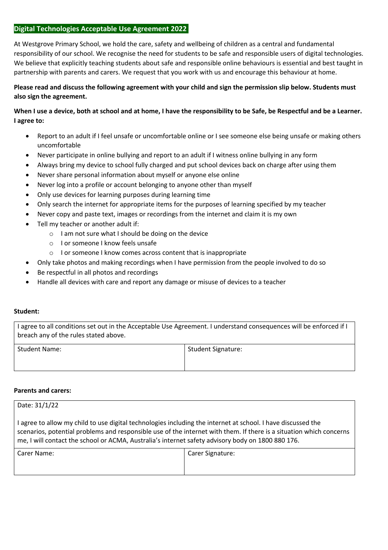## **Digital Technologies Acceptable Use Agreement 2022**

At Westgrove Primary School, we hold the care, safety and wellbeing of children as a central and fundamental responsibility of our school. We recognise the need for students to be safe and responsible users of digital technologies. We believe that explicitly teaching students about safe and responsible online behaviours is essential and best taught in partnership with parents and carers. We request that you work with us and encourage this behaviour at home.

# **Please read and discuss the following agreement with your child and sign the permission slip below. Students must also sign the agreement.**

# **When I use a device, both at school and at home, I have the responsibility to be Safe, be Respectful and be a Learner. I agree to:**

- Report to an adult if I feel unsafe or uncomfortable online or I see someone else being unsafe or making others uncomfortable
- Never participate in online bullying and report to an adult if I witness online bullying in any form
- Always bring my device to school fully charged and put school devices back on charge after using them
- Never share personal information about myself or anyone else online
- Never log into a profile or account belonging to anyone other than myself
- Only use devices for learning purposes during learning time
- Only search the internet for appropriate items for the purposes of learning specified by my teacher
- Never copy and paste text, images or recordings from the internet and claim it is my own
- Tell my teacher or another adult if:
	- $\circ$  I am not sure what I should be doing on the device
	- o I or someone I know feels unsafe
	- o I or someone I know comes across content that is inappropriate
- Only take photos and making recordings when I have permission from the people involved to do so
- Be respectful in all photos and recordings
- Handle all devices with care and report any damage or misuse of devices to a teacher

### **Student:**

I agree to all conditions set out in the Acceptable Use Agreement. I understand consequences will be enforced if I breach any of the rules stated above.

| <b>Student Name:</b> | Student Signature: |
|----------------------|--------------------|
|                      |                    |

### **Parents and carers:**

| Date: 31/1/22                                                                                                                                                                                                                                                                                                                            |                  |
|------------------------------------------------------------------------------------------------------------------------------------------------------------------------------------------------------------------------------------------------------------------------------------------------------------------------------------------|------------------|
| I agree to allow my child to use digital technologies including the internet at school. I have discussed the<br>scenarios, potential problems and responsible use of the internet with them. If there is a situation which concerns<br>me, I will contact the school or ACMA, Australia's internet safety advisory body on 1800 880 176. |                  |
| Carer Name:                                                                                                                                                                                                                                                                                                                              | Carer Signature: |